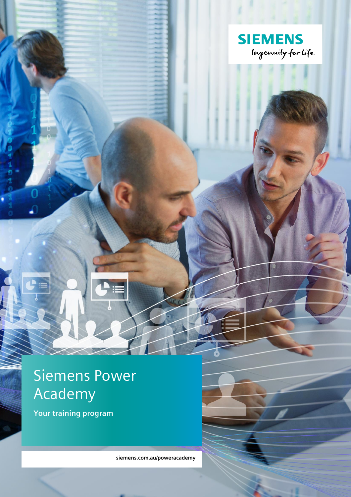

# Siemens Power Academy

**Your training program**

**siemens.com.au/poweracademy**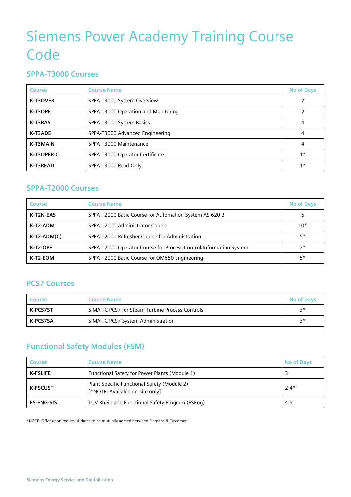# Siemens Power Academy Training Course **Code**

### **SPPA-T3000 Courses**

| Course     | <b>Course Name</b>                  | <b>No of Days</b> |
|------------|-------------------------------------|-------------------|
| K-T3OVER   | SPPA-T3000 System Overview          | 2                 |
| K-T3OPE    | SPPA-T3000 Operation and Monitoring |                   |
| K-T3BAS    | SPPA-T3000 System Basics            | 4                 |
| K-T3ADE    | SPPA-T3000 Advanced Engineering     | 4                 |
| K-T3MAIN   | SPPA-T3000 Maintenance              | 4                 |
| K-T3OPER-C | SPPA-T3000 Operator Certificate     | $1*$              |
| K-T3READ   | SPPA-T3000 Read-Only                | $1*$              |

### **SPPA-T2000 Courses**

| <b>Course</b> | <b>Course Name</b>                                                | <b>No of Days</b> |
|---------------|-------------------------------------------------------------------|-------------------|
| K-T2N-EAS     | SPPA-T2000 Basic Course for Automation System AS 620 B            |                   |
| K-T2-ADM      | SPPA-T2000 Administrator Course                                   | $10*$             |
| K-T2-ADM(C)   | SPPA-T2000 Refresher Course for Administration                    | $5*$              |
| K-T2-OPE      | SPPA-T2000 Operator Course for Process Control/Information System | $2^*$             |
| K-T2-EOM      | SPPA-T2000 Basic Course for OM650 Engineering                     | $5*$              |

#### **PCS7 Courses**

| Course   | <b>Course Name</b>                              | <b>No of Days</b> |
|----------|-------------------------------------------------|-------------------|
| K-PCS7ST | SIMATIC PCS7 for Steam Turbine Process Controls | ⊇∗                |
| K-PCS7SA | SIMATIC PCS7 System Administration              | ⊇∗                |

## **Functional Safety Modules (FSM)**

| Course            | <b>Course Name</b>                                                             | <b>No of Days</b> |
|-------------------|--------------------------------------------------------------------------------|-------------------|
| <b>K-FSLIFE</b>   | Functional Safety for Power Plants (Module 1)                                  |                   |
| <b>K-FSCUST</b>   | Plant Specific Functional Safety (Module 2)<br>[*NOTE: Available on-site only] | $2 - 4*$          |
| <b>FS-ENG-SIS</b> | TUV Rheinland Functional Safety Program (FSEng)                                | 4.5               |

\*NOTE: Offer upon request & dates to be mutually agreed between Siemens & Customer